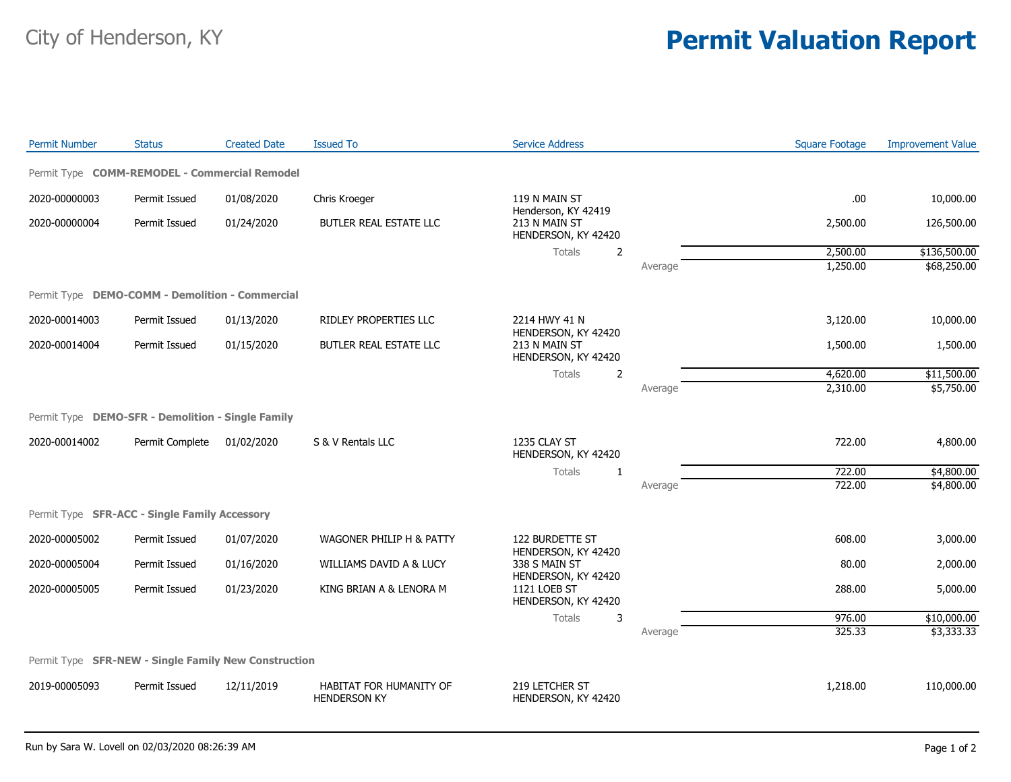## City of Henderson, KY **Permit Valuation Report**

| <b>Permit Number</b>                                 | <b>Status</b>   | <b>Created Date</b>                   | <b>Issued To</b>                                                  | <b>Service Address</b>                                      |         | <b>Square Footage</b> | <b>Improvement Value</b> |
|------------------------------------------------------|-----------------|---------------------------------------|-------------------------------------------------------------------|-------------------------------------------------------------|---------|-----------------------|--------------------------|
| Permit Type COMM-REMODEL - Commercial Remodel        |                 |                                       |                                                                   |                                                             |         |                       |                          |
| 2020-00000003                                        | Permit Issued   | 01/08/2020                            | Chris Kroeger                                                     | 119 N MAIN ST                                               |         | .00.                  | 10,000.00                |
| 2020-00000004                                        | Permit Issued   | 01/24/2020                            | BUTLER REAL ESTATE LLC                                            | Henderson, KY 42419<br>213 N MAIN ST<br>HENDERSON, KY 42420 |         | 2,500.00              | 126,500.00               |
|                                                      |                 |                                       |                                                                   | <b>Totals</b><br>2                                          |         | 2,500.00              | \$136,500.00             |
|                                                      |                 |                                       |                                                                   |                                                             | Average | 1,250.00              | \$68,250.00              |
| Permit Type DEMO-COMM - Demolition - Commercial      |                 |                                       |                                                                   |                                                             |         |                       |                          |
| 2020-00014003                                        | Permit Issued   | 01/13/2020                            | RIDLEY PROPERTIES LLC                                             | 2214 HWY 41 N<br>HENDERSON, KY 42420                        |         | 3,120.00              | 10,000.00                |
| 2020-00014004                                        | Permit Issued   | 01/15/2020                            | BUTLER REAL ESTATE LLC                                            | 213 N MAIN ST<br>HENDERSON, KY 42420                        |         | 1,500.00              | 1,500.00                 |
|                                                      |                 |                                       |                                                                   | <b>Totals</b><br>$\overline{2}$                             |         | 4,620.00              | \$11,500.00              |
|                                                      |                 |                                       |                                                                   |                                                             | Average | 2,310.00              | \$5,750.00               |
| Permit Type DEMO-SFR - Demolition - Single Family    |                 |                                       |                                                                   |                                                             |         |                       |                          |
| 2020-00014002                                        | Permit Complete | 01/02/2020                            | S & V Rentals LLC                                                 | 1235 CLAY ST<br>HENDERSON, KY 42420                         |         | 722.00                | 4,800.00                 |
|                                                      |                 |                                       |                                                                   | <b>Totals</b><br>$\mathbf{1}$                               |         | 722.00                | \$4,800.00               |
|                                                      |                 |                                       |                                                                   |                                                             | Average | 722.00                | \$4,800.00               |
| Permit Type SFR-ACC - Single Family Accessory        |                 |                                       |                                                                   |                                                             |         |                       |                          |
| 2020-00005002                                        | Permit Issued   | 01/07/2020                            | WAGONER PHILIP H & PATTY                                          | 122 BURDETTE ST<br>HENDERSON, KY 42420                      |         | 608.00                | 3,000.00                 |
| 2020-00005004                                        | Permit Issued   | 01/16/2020                            | WILLIAMS DAVID A & LUCY                                           | 338 S MAIN ST                                               |         | 80.00                 | 2,000.00                 |
| 2020-00005005                                        | Permit Issued   | KING BRIAN A & LENORA M<br>01/23/2020 | HENDERSON, KY 42420<br><b>1121 LOEB ST</b><br>HENDERSON, KY 42420 |                                                             | 288.00  | 5,000.00              |                          |
|                                                      |                 |                                       |                                                                   | Totals<br>3                                                 |         | 976.00                | \$10,000.00              |
|                                                      |                 |                                       |                                                                   |                                                             | Average | 325.33                | \$3,333.33               |
| Permit Type SFR-NEW - Single Family New Construction |                 |                                       |                                                                   |                                                             |         |                       |                          |
| 2019-00005093                                        | Permit Issued   | 12/11/2019                            | <b>HABITAT FOR HUMANITY OF</b><br><b>HENDERSON KY</b>             | 219 LETCHER ST<br>HENDERSON, KY 42420                       |         | 1,218.00              | 110,000.00               |